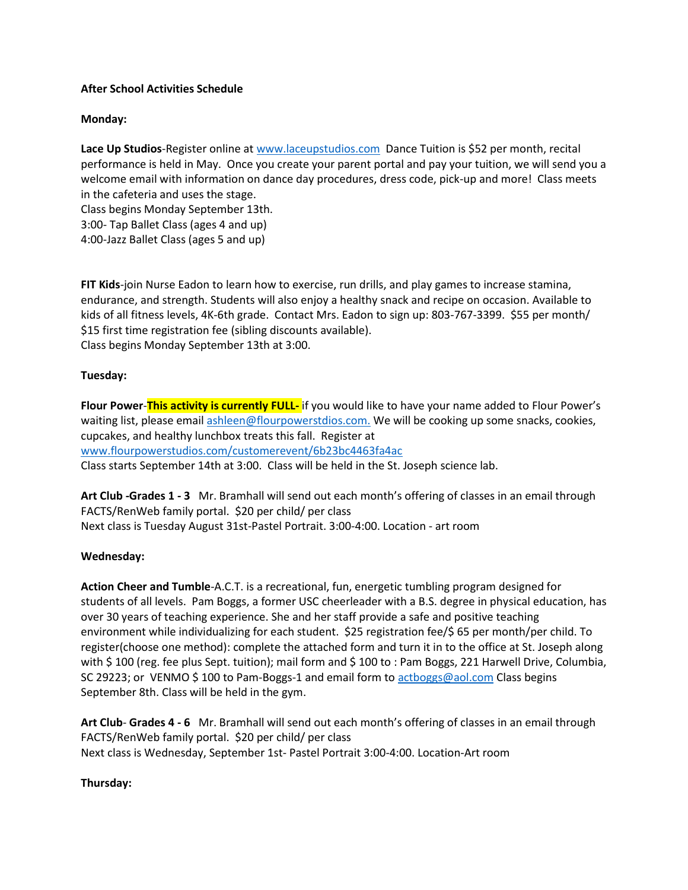# **After School Activities Schedule**

# **Monday:**

**Lace Up Studios**-Register online at [www.laceupstudios.com](http://www.laceupstudios.com/) Dance Tuition is \$52 per month, recital performance is held in May. Once you create your parent portal and pay your tuition, we will send you a welcome email with information on dance day procedures, dress code, pick-up and more! Class meets in the cafeteria and uses the stage.

Class begins Monday September 13th.

3:00- Tap Ballet Class (ages 4 and up) 4:00-Jazz Ballet Class (ages 5 and up)

**FIT Kids**-join Nurse Eadon to learn how to exercise, run drills, and play games to increase stamina, endurance, and strength. Students will also enjoy a healthy snack and recipe on occasion. Available to kids of all fitness levels, 4K-6th grade. Contact Mrs. Eadon to sign up: 803-767-3399. \$55 per month/ \$15 first time registration fee (sibling discounts available). Class begins Monday September 13th at 3:00.

### **Tuesday:**

**Flour Power**-**This activity is currently FULL-** if you would like to have your name added to Flour Power's waiting list, please email [ashleen@flourpowerstdios.com.](mailto:ashleen@flourpowerstdios.com) We will be cooking up some snacks, cookies, cupcakes, and healthy lunchbox treats this fall. Register at [www.flourpowerstudios.com/customerevent/6b23bc4463fa4ac](http://www.flourpowerstudios.com/customerevent/6b23bc4463fa4ac)

Class starts September 14th at 3:00. Class will be held in the St. Joseph science lab.

**Art Club -Grades 1 - 3** Mr. Bramhall will send out each month's offering of classes in an email through FACTS/RenWeb family portal. \$20 per child/ per class Next class is Tuesday August 31st-Pastel Portrait. 3:00-4:00. Location - art room

# **Wednesday:**

**Action Cheer and Tumble**-A.C.T. is a recreational, fun, energetic tumbling program designed for students of all levels. Pam Boggs, a former USC cheerleader with a B.S. degree in physical education, has over 30 years of teaching experience. She and her staff provide a safe and positive teaching environment while individualizing for each student. \$25 registration fee/\$ 65 per month/per child. To register(choose one method): complete the attached form and turn it in to the office at St. Joseph along with \$100 (reg. fee plus Sept. tuition); mail form and \$100 to : Pam Boggs, 221 Harwell Drive, Columbia, SC 29223; or VENMO \$ 100 to Pam-Boggs-1 and email form to [actboggs@aol.com](mailto:actboggs@aol.com) Class begins September 8th. Class will be held in the gym.

**Art Club**- **Grades 4 - 6** Mr. Bramhall will send out each month's offering of classes in an email through FACTS/RenWeb family portal. \$20 per child/ per class Next class is Wednesday, September 1st- Pastel Portrait 3:00-4:00. Location-Art room

### **Thursday:**